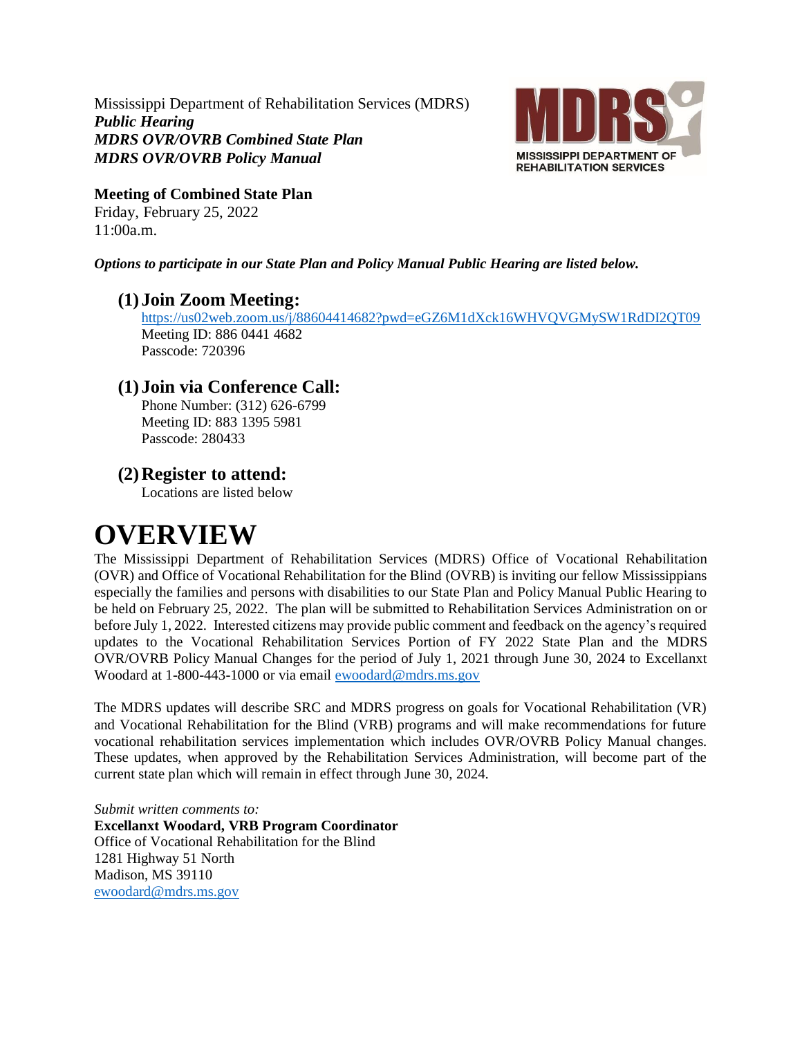Mississippi Department of Rehabilitation Services (MDRS) *Public Hearing MDRS OVR/OVRB Combined State Plan MDRS OVR/OVRB Policy Manual*



**Meeting of Combined State Plan** Friday, February 25, 2022

11:00a.m.

*Options to participate in our State Plan and Policy Manual Public Hearing are listed below.*

### **(1)Join Zoom Meeting:**

<https://us02web.zoom.us/j/88604414682?pwd=eGZ6M1dXck16WHVQVGMySW1RdDI2QT09> Meeting ID: 886 0441 4682 Passcode: 720396

## **(1)Join via Conference Call:**

Phone Number: (312) 626-6799 Meeting ID: 883 1395 5981 Passcode: 280433

## **(2)Register to attend:**

Locations are listed below

## **OVERVIEW**

The Mississippi Department of Rehabilitation Services (MDRS) Office of Vocational Rehabilitation (OVR) and Office of Vocational Rehabilitation for the Blind (OVRB) is inviting our fellow Mississippians especially the families and persons with disabilities to our State Plan and Policy Manual Public Hearing to be held on February 25, 2022. The plan will be submitted to Rehabilitation Services Administration on or before July 1, 2022. Interested citizens may provide public comment and feedback on the agency's required updates to the Vocational Rehabilitation Services Portion of FY 2022 State Plan and the MDRS OVR/OVRB Policy Manual Changes for the period of July 1, 2021 through June 30, 2024 to Excellanxt Woodard at 1-800-443-1000 or via email [ewoodard@mdrs.ms.gov](mailto:ewoodard@mdrs.ms.gov)

The MDRS updates will describe SRC and MDRS progress on goals for Vocational Rehabilitation (VR) and Vocational Rehabilitation for the Blind (VRB) programs and will make recommendations for future vocational rehabilitation services implementation which includes OVR/OVRB Policy Manual changes. These updates, when approved by the Rehabilitation Services Administration, will become part of the current state plan which will remain in effect through June 30, 2024.

*Submit written comments to:* **Excellanxt Woodard, VRB Program Coordinator** Office of Vocational Rehabilitation for the Blind 1281 Highway 51 North Madison, MS 39110 [ewoodard@mdrs.ms.gov](mailto:ewoodard@mdrs.ms.gov)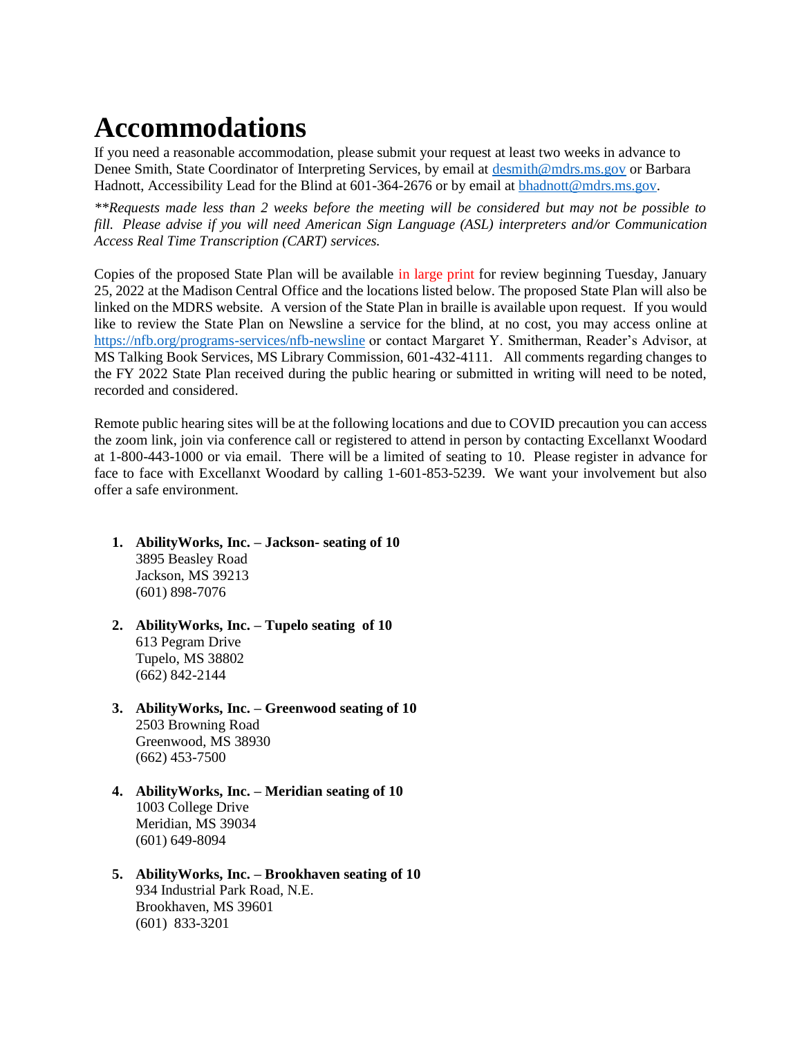# **Accommodations**

If you need a reasonable accommodation, please submit your request at least two weeks in advance to Denee Smith, State Coordinator of Interpreting Services, by email at [desmith@mdrs.ms.gov](mailto:desmith@mdrs.ms.gov) or Barbara Hadnott, Accessibility Lead for the Blind at 601-364-2676 or by email at [bhadnott@mdrs.ms.gov.](mailto:bhadnott@mdrs.ms.gov)

*\*\*Requests made less than 2 weeks before the meeting will be considered but may not be possible to fill. Please advise if you will need American Sign Language (ASL) interpreters and/or Communication Access Real Time Transcription (CART) services.*

Copies of the proposed State Plan will be available in large print for review beginning Tuesday, January 25, 2022 at the Madison Central Office and the locations listed below. The proposed State Plan will also be linked on the MDRS website. A version of the State Plan in braille is available upon request. If you would like to review the State Plan on Newsline a service for the blind, at no cost, you may access online at <https://nfb.org/programs-services/nfb-newsline> or contact Margaret Y. Smitherman, Reader's Advisor, at MS Talking Book Services, MS Library Commission, 601-432-4111. All comments regarding changes to the FY 2022 State Plan received during the public hearing or submitted in writing will need to be noted, recorded and considered.

Remote public hearing sites will be at the following locations and due to COVID precaution you can access the zoom link, join via conference call or registered to attend in person by contacting Excellanxt Woodard at 1-800-443-1000 or via email. There will be a limited of seating to 10. Please register in advance for face to face with Excellanxt Woodard by calling 1-601-853-5239. We want your involvement but also offer a safe environment.

- **1. AbilityWorks, Inc. – Jackson- seating of 10**  3895 Beasley Road Jackson, MS 39213 (601) 898-7076
- **2. AbilityWorks, Inc. – Tupelo seating of 10**  613 Pegram Drive Tupelo, MS 38802 (662) 842-2144
- **3. AbilityWorks, Inc. – Greenwood seating of 10**  2503 Browning Road Greenwood, MS 38930 (662) 453-7500
- **4. AbilityWorks, Inc. – Meridian seating of 10**  1003 College Drive Meridian, MS 39034 (601) 649-8094
- **5. AbilityWorks, Inc. – Brookhaven seating of 10**  934 Industrial Park Road, N.E. Brookhaven, MS 39601 (601) 833-3201